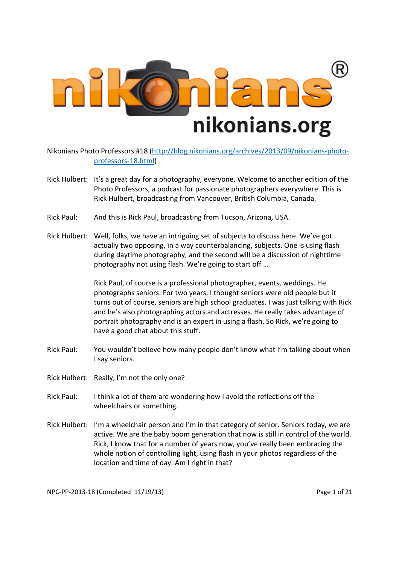

Nikonians Photo Professors #18 (http://blog.nikonians.org/archives/2013/09/nikonians-photoprofessors-18.html)

- Rick Hulbert: It's a great day for a photography, everyone. Welcome to another edition of the Photo Professors, a podcast for passionate photographers everywhere. This is Rick Hulbert, broadcasting from Vancouver, British Columbia, Canada.
- Rick Paul: And this is Rick Paul, broadcasting from Tucson, Arizona, USA.
- Rick Hulbert: Well, folks, we have an intriguing set of subjects to discuss here. We've got actually two opposing, in a way counterbalancing, subjects. One is using flash during daytime photography, and the second will be a discussion of nighttime photography not using flash. We're going to start off …

 Rick Paul, of course is a professional photographer, events, weddings. He photographs seniors. For two years, I thought seniors were old people but it turns out of course, seniors are high school graduates. I was just talking with Rick and he's also photographing actors and actresses. He really takes advantage of portrait photography and is an expert in using a flash. So Rick, we're going to have a good chat about this stuff.

- Rick Paul: You wouldn't believe how many people don't know what I'm talking about when I say seniors.
- Rick Hulbert: Really, I'm not the only one?
- Rick Paul: I think a lot of them are wondering how I avoid the reflections off the wheelchairs or something.
- Rick Hulbert: I'm a wheelchair person and I'm in that category of senior. Seniors today, we are active. We are the baby boom generation that now is still in control of the world. Rick, I know that for a number of years now, you've really been embracing the whole notion of controlling light, using flash in your photos regardless of the location and time of day. Am I right in that?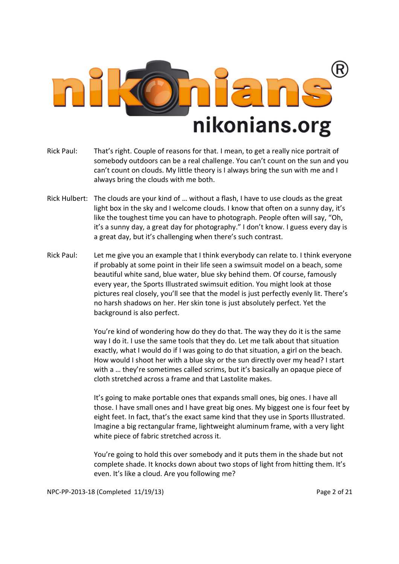

- Rick Paul: That's right. Couple of reasons for that. I mean, to get a really nice portrait of somebody outdoors can be a real challenge. You can't count on the sun and you can't count on clouds. My little theory is I always bring the sun with me and I always bring the clouds with me both.
- Rick Hulbert: The clouds are your kind of … without a flash, I have to use clouds as the great light box in the sky and I welcome clouds. I know that often on a sunny day, it's like the toughest time you can have to photograph. People often will say, "Oh, it's a sunny day, a great day for photography." I don't know. I guess every day is a great day, but it's challenging when there's such contrast.
- Rick Paul: Let me give you an example that I think everybody can relate to. I think everyone if probably at some point in their life seen a swimsuit model on a beach, some beautiful white sand, blue water, blue sky behind them. Of course, famously every year, the Sports Illustrated swimsuit edition. You might look at those pictures real closely, you'll see that the model is just perfectly evenly lit. There's no harsh shadows on her. Her skin tone is just absolutely perfect. Yet the background is also perfect.

 You're kind of wondering how do they do that. The way they do it is the same way I do it. I use the same tools that they do. Let me talk about that situation exactly, what I would do if I was going to do that situation, a girl on the beach. How would I shoot her with a blue sky or the sun directly over my head? I start with a … they're sometimes called scrims, but it's basically an opaque piece of cloth stretched across a frame and that Lastolite makes.

 It's going to make portable ones that expands small ones, big ones. I have all those. I have small ones and I have great big ones. My biggest one is four feet by eight feet. In fact, that's the exact same kind that they use in Sports Illustrated. Imagine a big rectangular frame, lightweight aluminum frame, with a very light white piece of fabric stretched across it.

 You're going to hold this over somebody and it puts them in the shade but not complete shade. It knocks down about two stops of light from hitting them. It's even. It's like a cloud. Are you following me?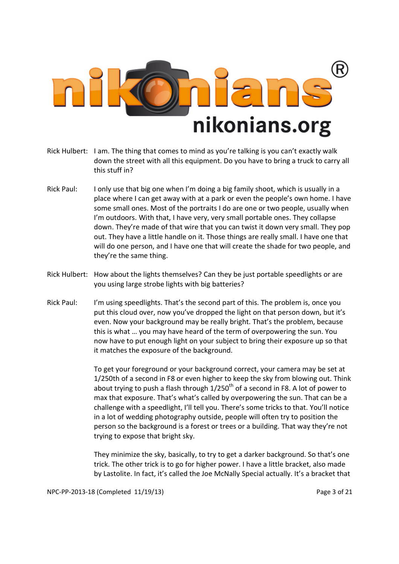

- Rick Hulbert: I am. The thing that comes to mind as you're talking is you can't exactly walk down the street with all this equipment. Do you have to bring a truck to carry all this stuff in?
- Rick Paul: I only use that big one when I'm doing a big family shoot, which is usually in a place where I can get away with at a park or even the people's own home. I have some small ones. Most of the portraits I do are one or two people, usually when I'm outdoors. With that, I have very, very small portable ones. They collapse down. They're made of that wire that you can twist it down very small. They pop out. They have a little handle on it. Those things are really small. I have one that will do one person, and I have one that will create the shade for two people, and they're the same thing.
- Rick Hulbert: How about the lights themselves? Can they be just portable speedlights or are you using large strobe lights with big batteries?
- Rick Paul: I'm using speedlights. That's the second part of this. The problem is, once you put this cloud over, now you've dropped the light on that person down, but it's even. Now your background may be really bright. That's the problem, because this is what … you may have heard of the term of overpowering the sun. You now have to put enough light on your subject to bring their exposure up so that it matches the exposure of the background.

 To get your foreground or your background correct, your camera may be set at 1/250th of a second in F8 or even higher to keep the sky from blowing out. Think about trying to push a flash through  $1/250<sup>th</sup>$  of a second in F8. A lot of power to max that exposure. That's what's called by overpowering the sun. That can be a challenge with a speedlight, I'll tell you. There's some tricks to that. You'll notice in a lot of wedding photography outside, people will often try to position the person so the background is a forest or trees or a building. That way they're not trying to expose that bright sky.

 They minimize the sky, basically, to try to get a darker background. So that's one trick. The other trick is to go for higher power. I have a little bracket, also made by Lastolite. In fact, it's called the Joe McNally Special actually. It's a bracket that

NPC-PP-2013-18 (Completed 11/19/13) Page 3 of 21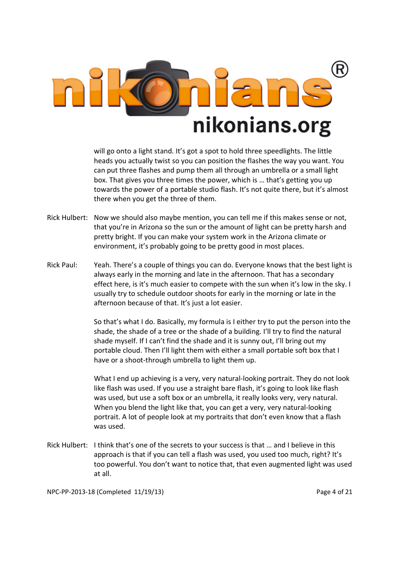

will go onto a light stand. It's got a spot to hold three speedlights. The little heads you actually twist so you can position the flashes the way you want. You can put three flashes and pump them all through an umbrella or a small light box. That gives you three times the power, which is … that's getting you up towards the power of a portable studio flash. It's not quite there, but it's almost there when you get the three of them.

- Rick Hulbert: Now we should also maybe mention, you can tell me if this makes sense or not, that you're in Arizona so the sun or the amount of light can be pretty harsh and pretty bright. If you can make your system work in the Arizona climate or environment, it's probably going to be pretty good in most places.
- Rick Paul: Yeah. There's a couple of things you can do. Everyone knows that the best light is always early in the morning and late in the afternoon. That has a secondary effect here, is it's much easier to compete with the sun when it's low in the sky. I usually try to schedule outdoor shoots for early in the morning or late in the afternoon because of that. It's just a lot easier.

 So that's what I do. Basically, my formula is I either try to put the person into the shade, the shade of a tree or the shade of a building. I'll try to find the natural shade myself. If I can't find the shade and it is sunny out, I'll bring out my portable cloud. Then I'll light them with either a small portable soft box that I have or a shoot-through umbrella to light them up.

 What I end up achieving is a very, very natural-looking portrait. They do not look like flash was used. If you use a straight bare flash, it's going to look like flash was used, but use a soft box or an umbrella, it really looks very, very natural. When you blend the light like that, you can get a very, very natural-looking portrait. A lot of people look at my portraits that don't even know that a flash was used.

Rick Hulbert: I think that's one of the secrets to your success is that … and I believe in this approach is that if you can tell a flash was used, you used too much, right? It's too powerful. You don't want to notice that, that even augmented light was used at all.

NPC-PP-2013-18 (Completed 11/19/13) Page 4 of 21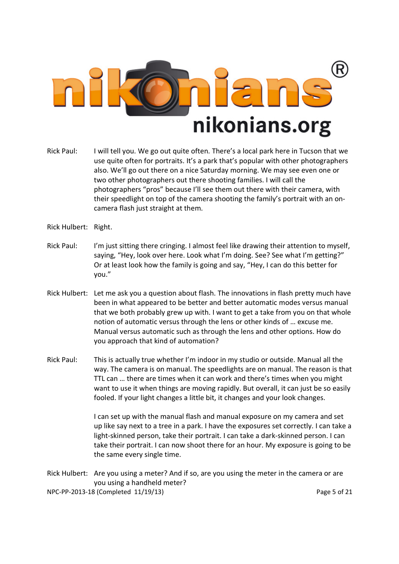

- Rick Paul: I will tell you. We go out quite often. There's a local park here in Tucson that we use quite often for portraits. It's a park that's popular with other photographers also. We'll go out there on a nice Saturday morning. We may see even one or two other photographers out there shooting families. I will call the photographers "pros" because I'll see them out there with their camera, with their speedlight on top of the camera shooting the family's portrait with an oncamera flash just straight at them.
- Rick Hulbert: Right.
- Rick Paul: I'm just sitting there cringing. I almost feel like drawing their attention to myself, saying, "Hey, look over here. Look what I'm doing. See? See what I'm getting?" Or at least look how the family is going and say, "Hey, I can do this better for you."
- Rick Hulbert: Let me ask you a question about flash. The innovations in flash pretty much have been in what appeared to be better and better automatic modes versus manual that we both probably grew up with. I want to get a take from you on that whole notion of automatic versus through the lens or other kinds of … excuse me. Manual versus automatic such as through the lens and other options. How do you approach that kind of automation?
- Rick Paul: This is actually true whether I'm indoor in my studio or outside. Manual all the way. The camera is on manual. The speedlights are on manual. The reason is that TTL can … there are times when it can work and there's times when you might want to use it when things are moving rapidly. But overall, it can just be so easily fooled. If your light changes a little bit, it changes and your look changes.

 I can set up with the manual flash and manual exposure on my camera and set up like say next to a tree in a park. I have the exposures set correctly. I can take a light-skinned person, take their portrait. I can take a dark-skinned person. I can take their portrait. I can now shoot there for an hour. My exposure is going to be the same every single time.

NPC-PP-2013-18 (Completed 11/19/13) Page 5 of 21 Rick Hulbert: Are you using a meter? And if so, are you using the meter in the camera or are you using a handheld meter?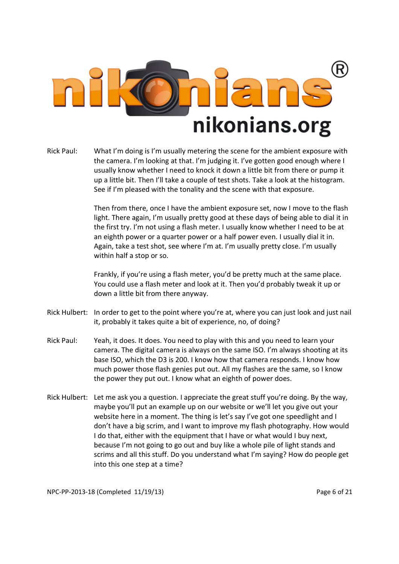

Rick Paul: What I'm doing is I'm usually metering the scene for the ambient exposure with the camera. I'm looking at that. I'm judging it. I've gotten good enough where I usually know whether I need to knock it down a little bit from there or pump it up a little bit. Then I'll take a couple of test shots. Take a look at the histogram. See if I'm pleased with the tonality and the scene with that exposure.

> Then from there, once I have the ambient exposure set, now I move to the flash light. There again, I'm usually pretty good at these days of being able to dial it in the first try. I'm not using a flash meter. I usually know whether I need to be at an eighth power or a quarter power or a half power even. I usually dial it in. Again, take a test shot, see where I'm at. I'm usually pretty close. I'm usually within half a stop or so.

 Frankly, if you're using a flash meter, you'd be pretty much at the same place. You could use a flash meter and look at it. Then you'd probably tweak it up or down a little bit from there anyway.

- Rick Hulbert: In order to get to the point where you're at, where you can just look and just nail it, probably it takes quite a bit of experience, no, of doing?
- Rick Paul: Yeah, it does. It does. You need to play with this and you need to learn your camera. The digital camera is always on the same ISO. I'm always shooting at its base ISO, which the D3 is 200. I know how that camera responds. I know how much power those flash genies put out. All my flashes are the same, so I know the power they put out. I know what an eighth of power does.
- Rick Hulbert: Let me ask you a question. I appreciate the great stuff you're doing. By the way, maybe you'll put an example up on our website or we'll let you give out your website here in a moment. The thing is let's say I've got one speedlight and I don't have a big scrim, and I want to improve my flash photography. How would I do that, either with the equipment that I have or what would I buy next, because I'm not going to go out and buy like a whole pile of light stands and scrims and all this stuff. Do you understand what I'm saying? How do people get into this one step at a time?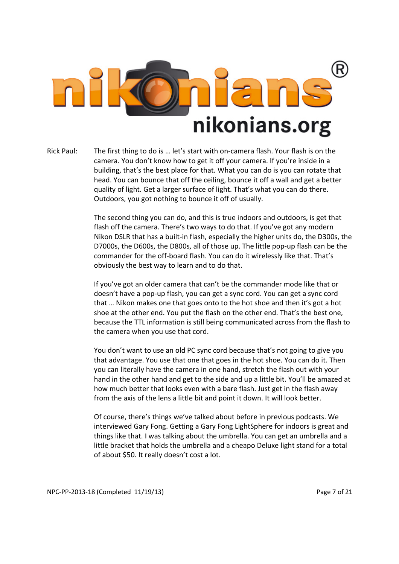

Rick Paul: The first thing to do is … let's start with on-camera flash. Your flash is on the camera. You don't know how to get it off your camera. If you're inside in a building, that's the best place for that. What you can do is you can rotate that head. You can bounce that off the ceiling, bounce it off a wall and get a better quality of light. Get a larger surface of light. That's what you can do there. Outdoors, you got nothing to bounce it off of usually.

> The second thing you can do, and this is true indoors and outdoors, is get that flash off the camera. There's two ways to do that. If you've got any modern Nikon DSLR that has a built-in flash, especially the higher units do, the D300s, the D7000s, the D600s, the D800s, all of those up. The little pop-up flash can be the commander for the off-board flash. You can do it wirelessly like that. That's obviously the best way to learn and to do that.

> If you've got an older camera that can't be the commander mode like that or doesn't have a pop-up flash, you can get a sync cord. You can get a sync cord that … Nikon makes one that goes onto to the hot shoe and then it's got a hot shoe at the other end. You put the flash on the other end. That's the best one, because the TTL information is still being communicated across from the flash to the camera when you use that cord.

> You don't want to use an old PC sync cord because that's not going to give you that advantage. You use that one that goes in the hot shoe. You can do it. Then you can literally have the camera in one hand, stretch the flash out with your hand in the other hand and get to the side and up a little bit. You'll be amazed at how much better that looks even with a bare flash. Just get in the flash away from the axis of the lens a little bit and point it down. It will look better.

> Of course, there's things we've talked about before in previous podcasts. We interviewed Gary Fong. Getting a Gary Fong LightSphere for indoors is great and things like that. I was talking about the umbrella. You can get an umbrella and a little bracket that holds the umbrella and a cheapo Deluxe light stand for a total of about \$50. It really doesn't cost a lot.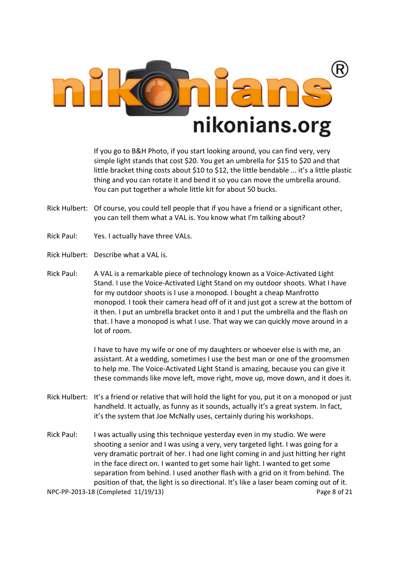

 If you go to B&H Photo, if you start looking around, you can find very, very simple light stands that cost \$20. You get an umbrella for \$15 to \$20 and that little bracket thing costs about \$10 to \$12, the little bendable ... it's a little plastic thing and you can rotate it and bend it so you can move the umbrella around. You can put together a whole little kit for about 50 bucks.

- Rick Hulbert: Of course, you could tell people that if you have a friend or a significant other, you can tell them what a VAL is. You know what I'm talking about?
- Rick Paul: Yes. I actually have three VALs.
- Rick Hulbert: Describe what a VAL is.
- Rick Paul: A VAL is a remarkable piece of technology known as a Voice-Activated Light Stand. I use the Voice-Activated Light Stand on my outdoor shoots. What I have for my outdoor shoots is I use a monopod. I bought a cheap Manfrotto monopod. I took their camera head off of it and just got a screw at the bottom of it then. I put an umbrella bracket onto it and I put the umbrella and the flash on that. I have a monopod is what I use. That way we can quickly move around in a lot of room.

 I have to have my wife or one of my daughters or whoever else is with me, an assistant. At a wedding, sometimes I use the best man or one of the groomsmen to help me. The Voice-Activated Light Stand is amazing, because you can give it these commands like move left, move right, move up, move down, and it does it.

- Rick Hulbert: It's a friend or relative that will hold the light for you, put it on a monopod or just handheld. It actually, as funny as it sounds, actually it's a great system. In fact, it's the system that Joe McNally uses, certainly during his workshops.
- NPC-PP-2013-18 (Completed 11/19/13) Page 8 of 21 Rick Paul: I was actually using this technique yesterday even in my studio. We were shooting a senior and I was using a very, very targeted light. I was going for a very dramatic portrait of her. I had one light coming in and just hitting her right in the face direct on. I wanted to get some hair light. I wanted to get some separation from behind. I used another flash with a grid on it from behind. The position of that, the light is so directional. It's like a laser beam coming out of it.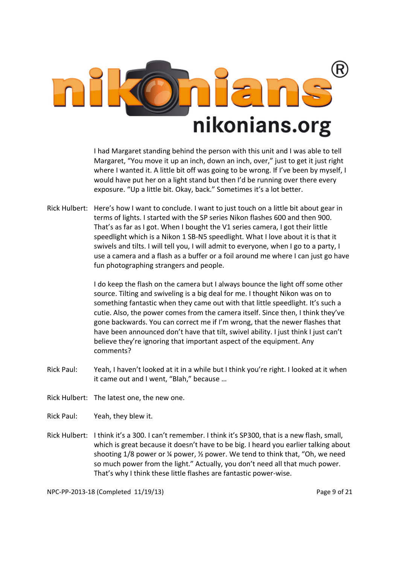

 I had Margaret standing behind the person with this unit and I was able to tell Margaret, "You move it up an inch, down an inch, over," just to get it just right where I wanted it. A little bit off was going to be wrong. If I've been by myself, I would have put her on a light stand but then I'd be running over there every exposure. "Up a little bit. Okay, back." Sometimes it's a lot better.

Rick Hulbert: Here's how I want to conclude. I want to just touch on a little bit about gear in terms of lights. I started with the SP series Nikon flashes 600 and then 900. That's as far as I got. When I bought the V1 series camera, I got their little speedlight which is a Nikon 1 SB-N5 speedlight. What I love about it is that it swivels and tilts. I will tell you, I will admit to everyone, when I go to a party, I use a camera and a flash as a buffer or a foil around me where I can just go have fun photographing strangers and people.

> I do keep the flash on the camera but I always bounce the light off some other source. Tilting and swiveling is a big deal for me. I thought Nikon was on to something fantastic when they came out with that little speedlight. It's such a cutie. Also, the power comes from the camera itself. Since then, I think they've gone backwards. You can correct me if I'm wrong, that the newer flashes that have been announced don't have that tilt, swivel ability. I just think I just can't believe they're ignoring that important aspect of the equipment. Any comments?

Rick Paul: Yeah, I haven't looked at it in a while but I think you're right. I looked at it when it came out and I went, "Blah," because …

Rick Hulbert: The latest one, the new one.

Rick Paul: Yeah, they blew it.

Rick Hulbert: I think it's a 300. I can't remember. I think it's SP300, that is a new flash, small, which is great because it doesn't have to be big. I heard you earlier talking about shooting  $1/8$  power or  $\frac{1}{4}$  power,  $\frac{1}{2}$  power. We tend to think that, "Oh, we need so much power from the light." Actually, you don't need all that much power. That's why I think these little flashes are fantastic power-wise.

NPC-PP-2013-18 (Completed 11/19/13) Page 9 of 21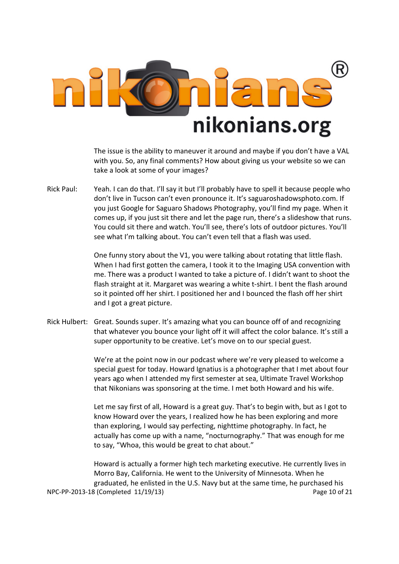

 The issue is the ability to maneuver it around and maybe if you don't have a VAL with you. So, any final comments? How about giving us your website so we can take a look at some of your images?

Rick Paul: Yeah. I can do that. I'll say it but I'll probably have to spell it because people who don't live in Tucson can't even pronounce it. It's saguaroshadowsphoto.com. If you just Google for Saguaro Shadows Photography, you'll find my page. When it comes up, if you just sit there and let the page run, there's a slideshow that runs. You could sit there and watch. You'll see, there's lots of outdoor pictures. You'll see what I'm talking about. You can't even tell that a flash was used.

> One funny story about the V1, you were talking about rotating that little flash. When I had first gotten the camera, I took it to the Imaging USA convention with me. There was a product I wanted to take a picture of. I didn't want to shoot the flash straight at it. Margaret was wearing a white t-shirt. I bent the flash around so it pointed off her shirt. I positioned her and I bounced the flash off her shirt and I got a great picture.

Rick Hulbert: Great. Sounds super. It's amazing what you can bounce off of and recognizing that whatever you bounce your light off it will affect the color balance. It's still a super opportunity to be creative. Let's move on to our special guest.

> We're at the point now in our podcast where we're very pleased to welcome a special guest for today. Howard Ignatius is a photographer that I met about four years ago when I attended my first semester at sea, Ultimate Travel Workshop that Nikonians was sponsoring at the time. I met both Howard and his wife.

> Let me say first of all, Howard is a great guy. That's to begin with, but as I got to know Howard over the years, I realized how he has been exploring and more than exploring, I would say perfecting, nighttime photography. In fact, he actually has come up with a name, "nocturnography." That was enough for me to say, "Whoa, this would be great to chat about."

NPC-PP-2013-18 (Completed 11/19/13) Page 10 of 21 Howard is actually a former high tech marketing executive. He currently lives in Morro Bay, California. He went to the University of Minnesota. When he graduated, he enlisted in the U.S. Navy but at the same time, he purchased his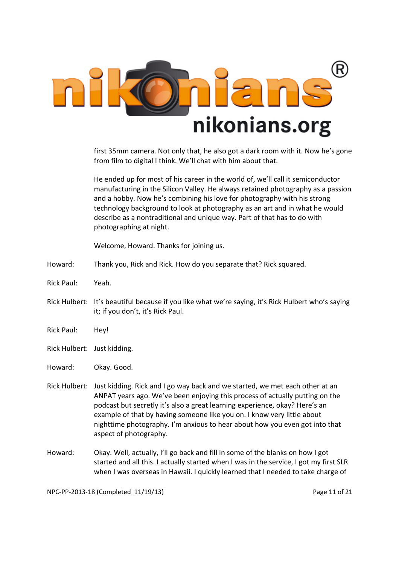

first 35mm camera. Not only that, he also got a dark room with it. Now he's gone from film to digital I think. We'll chat with him about that.

 He ended up for most of his career in the world of, we'll call it semiconductor manufacturing in the Silicon Valley. He always retained photography as a passion and a hobby. Now he's combining his love for photography with his strong technology background to look at photography as an art and in what he would describe as a nontraditional and unique way. Part of that has to do with photographing at night.

Welcome, Howard. Thanks for joining us.

- Howard: Thank you, Rick and Rick. How do you separate that? Rick squared.
- Rick Paul: Yeah.
- Rick Hulbert: It's beautiful because if you like what we're saying, it's Rick Hulbert who's saying it; if you don't, it's Rick Paul.
- Rick Paul: Hey!
- Rick Hulbert: Just kidding.
- Howard: Okay. Good.
- Rick Hulbert: Just kidding. Rick and I go way back and we started, we met each other at an ANPAT years ago. We've been enjoying this process of actually putting on the podcast but secretly it's also a great learning experience, okay? Here's an example of that by having someone like you on. I know very little about nighttime photography. I'm anxious to hear about how you even got into that aspect of photography.
- Howard: Okay. Well, actually, I'll go back and fill in some of the blanks on how I got started and all this. I actually started when I was in the service, I got my first SLR when I was overseas in Hawaii. I quickly learned that I needed to take charge of

NPC-PP-2013-18 (Completed 11/19/13) Page 11 of 21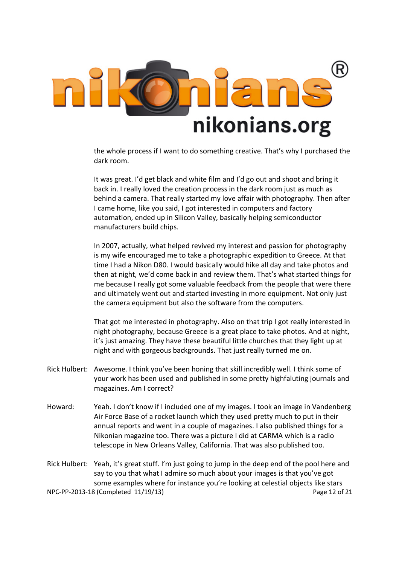

the whole process if I want to do something creative. That's why I purchased the dark room.

 It was great. I'd get black and white film and I'd go out and shoot and bring it back in. I really loved the creation process in the dark room just as much as behind a camera. That really started my love affair with photography. Then after I came home, like you said, I got interested in computers and factory automation, ended up in Silicon Valley, basically helping semiconductor manufacturers build chips.

 In 2007, actually, what helped revived my interest and passion for photography is my wife encouraged me to take a photographic expedition to Greece. At that time I had a Nikon D80. I would basically would hike all day and take photos and then at night, we'd come back in and review them. That's what started things for me because I really got some valuable feedback from the people that were there and ultimately went out and started investing in more equipment. Not only just the camera equipment but also the software from the computers.

 That got me interested in photography. Also on that trip I got really interested in night photography, because Greece is a great place to take photos. And at night, it's just amazing. They have these beautiful little churches that they light up at night and with gorgeous backgrounds. That just really turned me on.

- Rick Hulbert: Awesome. I think you've been honing that skill incredibly well. I think some of your work has been used and published in some pretty highfaluting journals and magazines. Am I correct?
- Howard: Yeah. I don't know if I included one of my images. I took an image in Vandenberg Air Force Base of a rocket launch which they used pretty much to put in their annual reports and went in a couple of magazines. I also published things for a Nikonian magazine too. There was a picture I did at CARMA which is a radio telescope in New Orleans Valley, California. That was also published too.

NPC-PP-2013-18 (Completed 11/19/13) Page 12 of 21 Rick Hulbert: Yeah, it's great stuff. I'm just going to jump in the deep end of the pool here and say to you that what I admire so much about your images is that you've got some examples where for instance you're looking at celestial objects like stars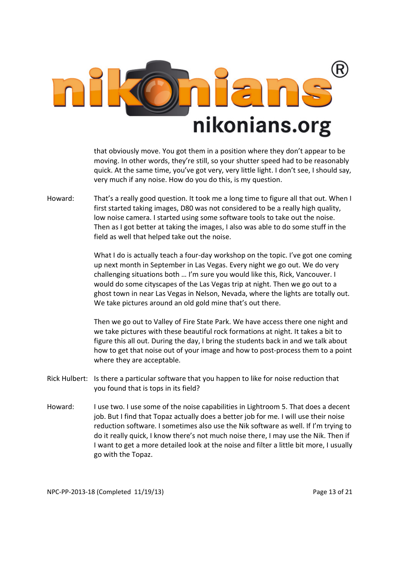

that obviously move. You got them in a position where they don't appear to be moving. In other words, they're still, so your shutter speed had to be reasonably quick. At the same time, you've got very, very little light. I don't see, I should say, very much if any noise. How do you do this, is my question.

Howard: That's a really good question. It took me a long time to figure all that out. When I first started taking images, D80 was not considered to be a really high quality, low noise camera. I started using some software tools to take out the noise. Then as I got better at taking the images, I also was able to do some stuff in the field as well that helped take out the noise.

> What I do is actually teach a four-day workshop on the topic. I've got one coming up next month in September in Las Vegas. Every night we go out. We do very challenging situations both … I'm sure you would like this, Rick, Vancouver. I would do some cityscapes of the Las Vegas trip at night. Then we go out to a ghost town in near Las Vegas in Nelson, Nevada, where the lights are totally out. We take pictures around an old gold mine that's out there.

> Then we go out to Valley of Fire State Park. We have access there one night and we take pictures with these beautiful rock formations at night. It takes a bit to figure this all out. During the day, I bring the students back in and we talk about how to get that noise out of your image and how to post-process them to a point where they are acceptable.

- Rick Hulbert: Is there a particular software that you happen to like for noise reduction that you found that is tops in its field?
- Howard: I use two. I use some of the noise capabilities in Lightroom 5. That does a decent job. But I find that Topaz actually does a better job for me. I will use their noise reduction software. I sometimes also use the Nik software as well. If I'm trying to do it really quick, I know there's not much noise there, I may use the Nik. Then if I want to get a more detailed look at the noise and filter a little bit more, I usually go with the Topaz.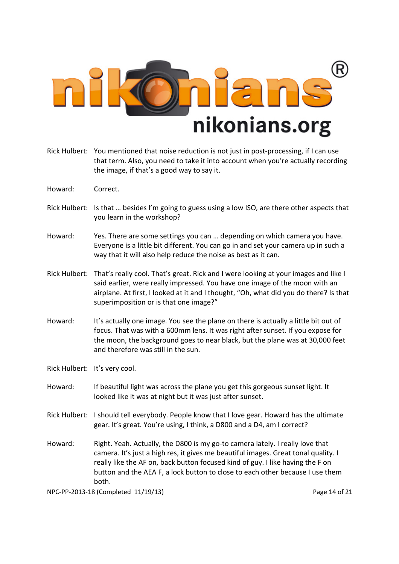

- Rick Hulbert: You mentioned that noise reduction is not just in post-processing, if I can use that term. Also, you need to take it into account when you're actually recording the image, if that's a good way to say it.
- Howard: Correct.
- Rick Hulbert: Is that … besides I'm going to guess using a low ISO, are there other aspects that you learn in the workshop?
- Howard: Yes. There are some settings you can … depending on which camera you have. Everyone is a little bit different. You can go in and set your camera up in such a way that it will also help reduce the noise as best as it can.
- Rick Hulbert: That's really cool. That's great. Rick and I were looking at your images and like I said earlier, were really impressed. You have one image of the moon with an airplane. At first, I looked at it and I thought, "Oh, what did you do there? Is that superimposition or is that one image?"
- Howard: It's actually one image. You see the plane on there is actually a little bit out of focus. That was with a 600mm lens. It was right after sunset. If you expose for the moon, the background goes to near black, but the plane was at 30,000 feet and therefore was still in the sun.
- Rick Hulbert: It's very cool.
- Howard: If beautiful light was across the plane you get this gorgeous sunset light. It looked like it was at night but it was just after sunset.
- Rick Hulbert: I should tell everybody. People know that I love gear. Howard has the ultimate gear. It's great. You're using, I think, a D800 and a D4, am I correct?
- Howard: Right. Yeah. Actually, the D800 is my go-to camera lately. I really love that camera. It's just a high res, it gives me beautiful images. Great tonal quality. I really like the AF on, back button focused kind of guy. I like having the F on button and the AEA F, a lock button to close to each other because I use them both.

NPC-PP-2013-18 (Completed 11/19/13) Page 14 of 21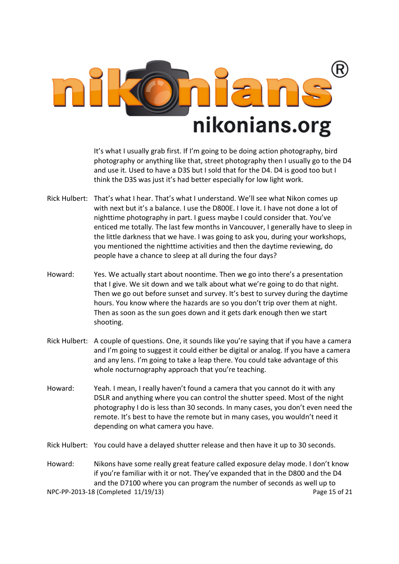

 It's what I usually grab first. If I'm going to be doing action photography, bird photography or anything like that, street photography then I usually go to the D4 and use it. Used to have a D3S but I sold that for the D4. D4 is good too but I think the D3S was just it's had better especially for low light work.

- Rick Hulbert: That's what I hear. That's what I understand. We'll see what Nikon comes up with next but it's a balance. I use the D800E. I love it. I have not done a lot of nighttime photography in part. I guess maybe I could consider that. You've enticed me totally. The last few months in Vancouver, I generally have to sleep in the little darkness that we have. I was going to ask you, during your workshops, you mentioned the nighttime activities and then the daytime reviewing, do people have a chance to sleep at all during the four days?
- Howard: Yes. We actually start about noontime. Then we go into there's a presentation that I give. We sit down and we talk about what we're going to do that night. Then we go out before sunset and survey. It's best to survey during the daytime hours. You know where the hazards are so you don't trip over them at night. Then as soon as the sun goes down and it gets dark enough then we start shooting.
- Rick Hulbert: A couple of questions. One, it sounds like you're saying that if you have a camera and I'm going to suggest it could either be digital or analog. If you have a camera and any lens. I'm going to take a leap there. You could take advantage of this whole nocturnography approach that you're teaching.
- Howard: Yeah. I mean, I really haven't found a camera that you cannot do it with any DSLR and anything where you can control the shutter speed. Most of the night photography I do is less than 30 seconds. In many cases, you don't even need the remote. It's best to have the remote but in many cases, you wouldn't need it depending on what camera you have.
- Rick Hulbert: You could have a delayed shutter release and then have it up to 30 seconds.

NPC-PP-2013-18 (Completed 11/19/13) Page 15 of 21 Howard: Nikons have some really great feature called exposure delay mode. I don't know if you're familiar with it or not. They've expanded that in the D800 and the D4 and the D7100 where you can program the number of seconds as well up to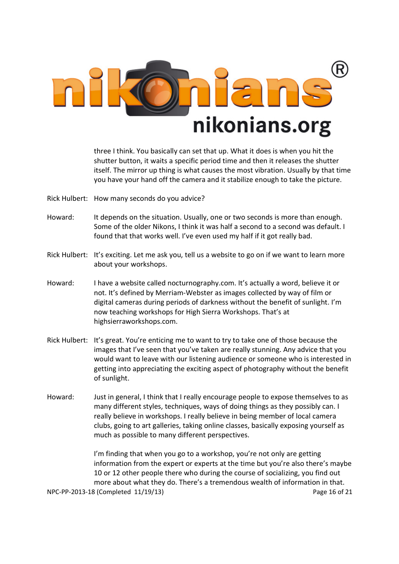

three I think. You basically can set that up. What it does is when you hit the shutter button, it waits a specific period time and then it releases the shutter itself. The mirror up thing is what causes the most vibration. Usually by that time you have your hand off the camera and it stabilize enough to take the picture.

- Rick Hulbert: How many seconds do you advice?
- Howard: It depends on the situation. Usually, one or two seconds is more than enough. Some of the older Nikons, I think it was half a second to a second was default. I found that that works well. I've even used my half if it got really bad.
- Rick Hulbert: It's exciting. Let me ask you, tell us a website to go on if we want to learn more about your workshops.
- Howard: I have a website called nocturnography.com. It's actually a word, believe it or not. It's defined by Merriam-Webster as images collected by way of film or digital cameras during periods of darkness without the benefit of sunlight. I'm now teaching workshops for High Sierra Workshops. That's at highsierraworkshops.com.
- Rick Hulbert: It's great. You're enticing me to want to try to take one of those because the images that I've seen that you've taken are really stunning. Any advice that you would want to leave with our listening audience or someone who is interested in getting into appreciating the exciting aspect of photography without the benefit of sunlight.
- Howard: Just in general, I think that I really encourage people to expose themselves to as many different styles, techniques, ways of doing things as they possibly can. I really believe in workshops. I really believe in being member of local camera clubs, going to art galleries, taking online classes, basically exposing yourself as much as possible to many different perspectives.

NPC-PP-2013-18 (Completed 11/19/13) Page 16 of 21 I'm finding that when you go to a workshop, you're not only are getting information from the expert or experts at the time but you're also there's maybe 10 or 12 other people there who during the course of socializing, you find out more about what they do. There's a tremendous wealth of information in that.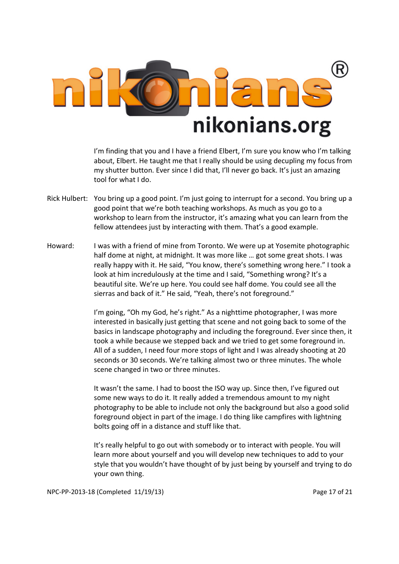

I'm finding that you and I have a friend Elbert, I'm sure you know who I'm talking about, Elbert. He taught me that I really should be using decupling my focus from my shutter button. Ever since I did that, I'll never go back. It's just an amazing tool for what I do.

- Rick Hulbert: You bring up a good point. I'm just going to interrupt for a second. You bring up a good point that we're both teaching workshops. As much as you go to a workshop to learn from the instructor, it's amazing what you can learn from the fellow attendees just by interacting with them. That's a good example.
- Howard: I was with a friend of mine from Toronto. We were up at Yosemite photographic half dome at night, at midnight. It was more like … got some great shots. I was really happy with it. He said, "You know, there's something wrong here." I took a look at him incredulously at the time and I said, "Something wrong? It's a beautiful site. We're up here. You could see half dome. You could see all the sierras and back of it." He said, "Yeah, there's not foreground."

 I'm going, "Oh my God, he's right." As a nighttime photographer, I was more interested in basically just getting that scene and not going back to some of the basics in landscape photography and including the foreground. Ever since then, it took a while because we stepped back and we tried to get some foreground in. All of a sudden, I need four more stops of light and I was already shooting at 20 seconds or 30 seconds. We're talking almost two or three minutes. The whole scene changed in two or three minutes.

 It wasn't the same. I had to boost the ISO way up. Since then, I've figured out some new ways to do it. It really added a tremendous amount to my night photography to be able to include not only the background but also a good solid foreground object in part of the image. I do thing like campfires with lightning bolts going off in a distance and stuff like that.

 It's really helpful to go out with somebody or to interact with people. You will learn more about yourself and you will develop new techniques to add to your style that you wouldn't have thought of by just being by yourself and trying to do your own thing.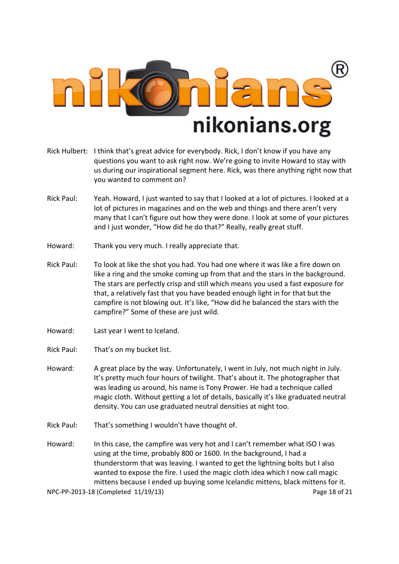

- Rick Hulbert: I think that's great advice for everybody. Rick, I don't know if you have any questions you want to ask right now. We're going to invite Howard to stay with us during our inspirational segment here. Rick, was there anything right now that you wanted to comment on?
- Rick Paul: Yeah. Howard, I just wanted to say that I looked at a lot of pictures. I looked at a lot of pictures in magazines and on the web and things and there aren't very many that I can't figure out how they were done. I look at some of your pictures and I just wonder, "How did he do that?" Really, really great stuff.
- Howard: Thank you very much. I really appreciate that.
- Rick Paul: To look at like the shot you had. You had one where it was like a fire down on like a ring and the smoke coming up from that and the stars in the background. The stars are perfectly crisp and still which means you used a fast exposure for that, a relatively fast that you have beaded enough light in for that but the campfire is not blowing out. It's like, "How did he balanced the stars with the campfire?" Some of these are just wild.
- Howard: Last year I went to Iceland.
- Rick Paul: That's on my bucket list.
- Howard: A great place by the way. Unfortunately, I went in July, not much night in July. It's pretty much four hours of twilight. That's about it. The photographer that was leading us around, his name is Tony Prower. He had a technique called magic cloth. Without getting a lot of details, basically it's like graduated neutral density. You can use graduated neutral densities at night too.
- Rick Paul: That's something I wouldn't have thought of.
- Howard: In this case, the campfire was very hot and I can't remember what ISO I was using at the time, probably 800 or 1600. In the background, I had a thunderstorm that was leaving. I wanted to get the lightning bolts but I also wanted to expose the fire. I used the magic cloth idea which I now call magic mittens because I ended up buying some Icelandic mittens, black mittens for it.

NPC-PP-2013-18 (Completed 11/19/13) Page 18 of 21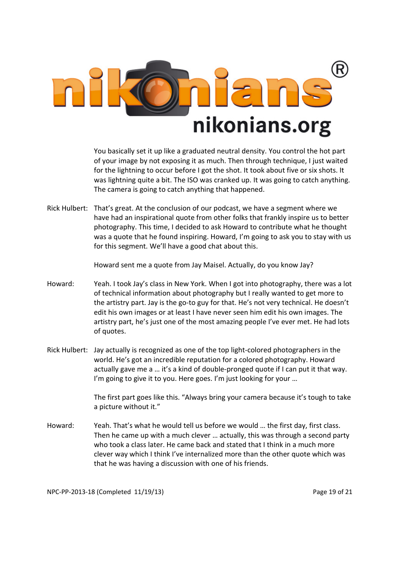

 You basically set it up like a graduated neutral density. You control the hot part of your image by not exposing it as much. Then through technique, I just waited for the lightning to occur before I got the shot. It took about five or six shots. It was lightning quite a bit. The ISO was cranked up. It was going to catch anything. The camera is going to catch anything that happened.

Rick Hulbert: That's great. At the conclusion of our podcast, we have a segment where we have had an inspirational quote from other folks that frankly inspire us to better photography. This time, I decided to ask Howard to contribute what he thought was a quote that he found inspiring. Howard, I'm going to ask you to stay with us for this segment. We'll have a good chat about this.

Howard sent me a quote from Jay Maisel. Actually, do you know Jay?

- Howard: Yeah. I took Jay's class in New York. When I got into photography, there was a lot of technical information about photography but I really wanted to get more to the artistry part. Jay is the go-to guy for that. He's not very technical. He doesn't edit his own images or at least I have never seen him edit his own images. The artistry part, he's just one of the most amazing people I've ever met. He had lots of quotes.
- Rick Hulbert: Jay actually is recognized as one of the top light-colored photographers in the world. He's got an incredible reputation for a colored photography. Howard actually gave me a … it's a kind of double-pronged quote if I can put it that way. I'm going to give it to you. Here goes. I'm just looking for your ...

 The first part goes like this. "Always bring your camera because it's tough to take a picture without it."

Howard: Yeah. That's what he would tell us before we would … the first day, first class. Then he came up with a much clever … actually, this was through a second party who took a class later. He came back and stated that I think in a much more clever way which I think I've internalized more than the other quote which was that he was having a discussion with one of his friends.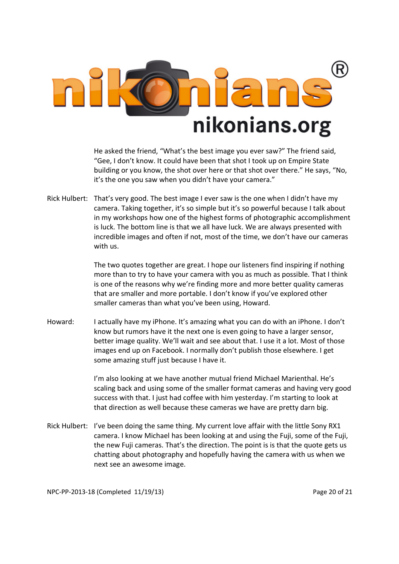

 He asked the friend, "What's the best image you ever saw?" The friend said, "Gee, I don't know. It could have been that shot I took up on Empire State building or you know, the shot over here or that shot over there." He says, "No, it's the one you saw when you didn't have your camera."

Rick Hulbert: That's very good. The best image I ever saw is the one when I didn't have my camera. Taking together, it's so simple but it's so powerful because I talk about in my workshops how one of the highest forms of photographic accomplishment is luck. The bottom line is that we all have luck. We are always presented with incredible images and often if not, most of the time, we don't have our cameras with us.

> The two quotes together are great. I hope our listeners find inspiring if nothing more than to try to have your camera with you as much as possible. That I think is one of the reasons why we're finding more and more better quality cameras that are smaller and more portable. I don't know if you've explored other smaller cameras than what you've been using, Howard.

Howard: I actually have my iPhone. It's amazing what you can do with an iPhone. I don't know but rumors have it the next one is even going to have a larger sensor, better image quality. We'll wait and see about that. I use it a lot. Most of those images end up on Facebook. I normally don't publish those elsewhere. I get some amazing stuff just because I have it.

> I'm also looking at we have another mutual friend Michael Marienthal. He's scaling back and using some of the smaller format cameras and having very good success with that. I just had coffee with him yesterday. I'm starting to look at that direction as well because these cameras we have are pretty darn big.

Rick Hulbert: I've been doing the same thing. My current love affair with the little Sony RX1 camera. I know Michael has been looking at and using the Fuji, some of the Fuji, the new Fuji cameras. That's the direction. The point is is that the quote gets us chatting about photography and hopefully having the camera with us when we next see an awesome image.

NPC-PP-2013-18 (Completed 11/19/13) Page 20 of 21